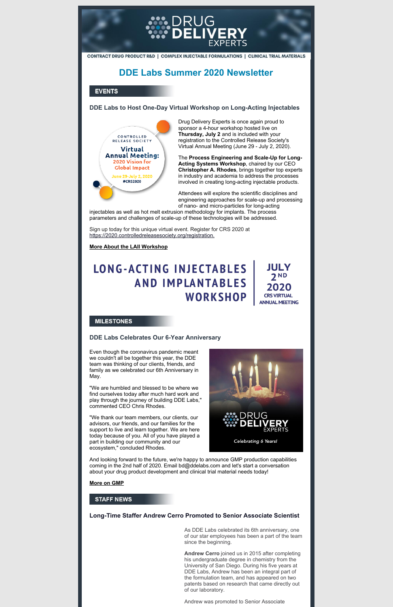

CONTRACT DRUG PRODUCT R&D | COMPLEX INJECTABLE FORMULATIONS | CLINICAL TRIAL MATERIALS

## **DDE Labs Summer 2020 Newsletter**

#### **EVENTS**

**DDE Labs to Host One-Day Virtual Workshop on Long-Acting Injectables**



Drug Delivery Experts is once again proud to sponsor a 4-hour workshop hosted live on **Thursday, July 2** and is included with your registration to the Controlled Release Society's Virtual Annual Meeting (June 29 - July 2, 2020).

The **Process Engineering and Scale-Up for Long-Acting Systems Workshop**, chaired by our CEO **Christopher A. Rhodes**, brings together top experts in industry and academia to address the processes involved in creating long-acting injectable products.

Attendees will explore the scientific disciplines and engineering approaches for scale-up and processing of nano- and micro-particles for long-acting

injectables as well as hot melt extrusion methodology for implants. The process parameters and challenges of scale-up of these technologies will be addressed.

Sign up today for this unique virtual event. Register for CRS 2020 at [https://2020.controlledreleasesociety.org/registration.](https://2020.controlledreleasesociety.org/registration)

**More About the LAII [Workshop](http://laiiconference.org)**

# **LONG-ACTING INJECTABLES AND IMPLANTABLES WORKSHOP**

## **JULY**  $2<sup>ND</sup>$ **2020 CRS VIRTUAL ANNUAL MEETING**

#### **MILESTONES**

#### **DDE Labs Celebrates Our 6-Year Anniversary**

Even though the coronavirus pandemic meant we couldn't all be together this year, the DDE team was thinking of our clients, friends, and family as we celebrated our 6th Anniversary in May.

"We are humbled and blessed to be where we find ourselves today after much hard work and play through the journey of building DDE Labs," commented CEO Chris Rhodes.

"We thank our team members, our clients, our advisors, our friends, and our families for the support to live and learn together. We are here today because of you. All of you have played a part in building our community and our



ecosystem," concluded Rhodes.

And looking forward to the future, we're happy to announce GMP production capabilities coming in the 2nd half of 2020. Email bd@ddelabs.com and let's start a conversation about your drug product development and clinical trial material needs today!

**[More](http://drugdeliveryexperts.com/gmp-facilities/) on GMP**

#### **STAFF NEWS**

#### **Long-Time Staffer Andrew Cerro Promoted to Senior Associate Scientist**

As DDE Labs celebrated its 6th anniversary, one of our star employees has been a part of the team since the beginning.

**Andrew Cerro** joined us in 2015 after completing his undergraduate degree in chemistry from the University of San Diego. During his five years at DDE Labs, Andrew has been an integral part of the formulation team, and has appeared on two patents based on research that came directly out of our laboratory.

Andrew was promoted to Senior Associate